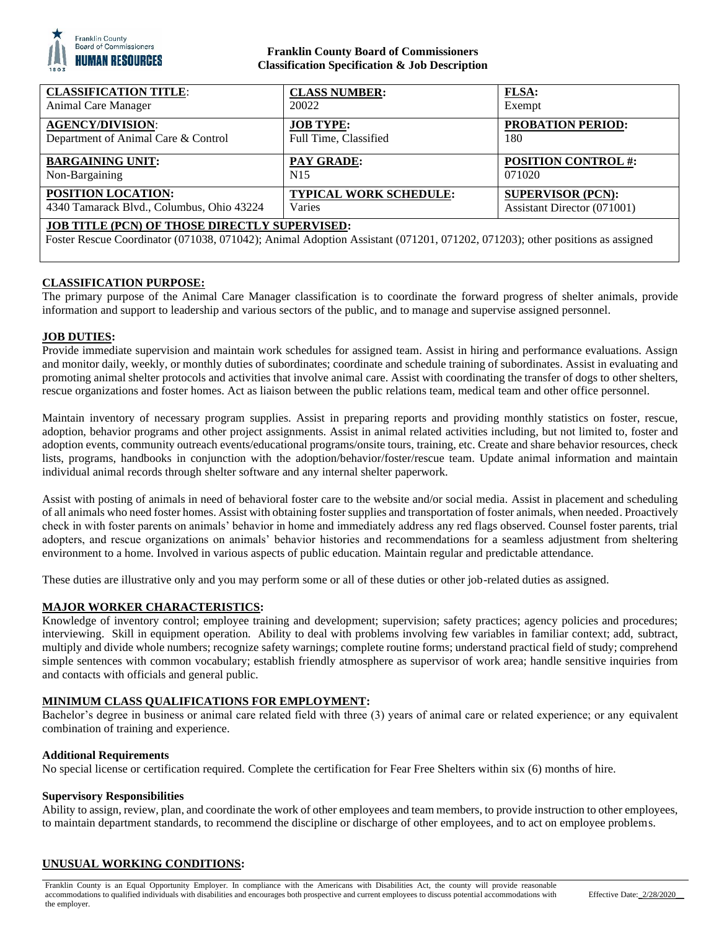

# **Franklin County Board of Commissioners Classification Specification & Job Description**

| <b>CLASSIFICATION TITLE:</b>                                                                                                                                                        | <b>CLASS NUMBER:</b>          | <b>FLSA:</b>                |
|-------------------------------------------------------------------------------------------------------------------------------------------------------------------------------------|-------------------------------|-----------------------------|
| Animal Care Manager                                                                                                                                                                 | 20022                         | Exempt                      |
| <b>AGENCY/DIVISION:</b>                                                                                                                                                             | <b>JOB TYPE:</b>              | <b>PROBATION PERIOD:</b>    |
| Department of Animal Care & Control                                                                                                                                                 | Full Time, Classified         | 180                         |
| <b>BARGAINING UNIT:</b>                                                                                                                                                             | <b>PAY GRADE:</b>             | <b>POSITION CONTROL#:</b>   |
| Non-Bargaining                                                                                                                                                                      | N <sub>15</sub>               | 071020                      |
| POSITION LOCATION:                                                                                                                                                                  | <b>TYPICAL WORK SCHEDULE:</b> | <b>SUPERVISOR (PCN):</b>    |
| 4340 Tamarack Blvd., Columbus, Ohio 43224                                                                                                                                           | Varies                        | Assistant Director (071001) |
| <b>JOB TITLE (PCN) OF THOSE DIRECTLY SUPERVISED:</b><br>Foster Rescue Coordinator (071038, 071042); Animal Adoption Assistant (071201, 071202, 071203); other positions as assigned |                               |                             |

# **CLASSIFICATION PURPOSE:**

The primary purpose of the Animal Care Manager classification is to coordinate the forward progress of shelter animals, provide information and support to leadership and various sectors of the public, and to manage and supervise assigned personnel.

#### **JOB DUTIES:**

Provide immediate supervision and maintain work schedules for assigned team. Assist in hiring and performance evaluations. Assign and monitor daily, weekly, or monthly duties of subordinates; coordinate and schedule training of subordinates. Assist in evaluating and promoting animal shelter protocols and activities that involve animal care. Assist with coordinating the transfer of dogs to other shelters, rescue organizations and foster homes. Act as liaison between the public relations team, medical team and other office personnel.

Maintain inventory of necessary program supplies. Assist in preparing reports and providing monthly statistics on foster, rescue, adoption, behavior programs and other project assignments. Assist in animal related activities including, but not limited to, foster and adoption events, community outreach events/educational programs/onsite tours, training, etc. Create and share behavior resources, check lists, programs, handbooks in conjunction with the adoption/behavior/foster/rescue team. Update animal information and maintain individual animal records through shelter software and any internal shelter paperwork.

Assist with posting of animals in need of behavioral foster care to the website and/or social media. Assist in placement and scheduling of all animals who need foster homes. Assist with obtaining foster supplies and transportation of foster animals, when needed. Proactively check in with foster parents on animals' behavior in home and immediately address any red flags observed. Counsel foster parents, trial adopters, and rescue organizations on animals' behavior histories and recommendations for a seamless adjustment from sheltering environment to a home. Involved in various aspects of public education. Maintain regular and predictable attendance.

These duties are illustrative only and you may perform some or all of these duties or other job-related duties as assigned.

## **MAJOR WORKER CHARACTERISTICS:**

Knowledge of inventory control; employee training and development; supervision; safety practices; agency policies and procedures; interviewing. Skill in equipment operation. Ability to deal with problems involving few variables in familiar context; add, subtract, multiply and divide whole numbers; recognize safety warnings; complete routine forms; understand practical field of study; comprehend simple sentences with common vocabulary; establish friendly atmosphere as supervisor of work area; handle sensitive inquiries from and contacts with officials and general public.

## **MINIMUM CLASS QUALIFICATIONS FOR EMPLOYMENT:**

Bachelor's degree in business or animal care related field with three (3) years of animal care or related experience; or any equivalent combination of training and experience.

#### **Additional Requirements**

No special license or certification required. Complete the certification for Fear Free Shelters within six (6) months of hire.

#### **Supervisory Responsibilities**

Ability to assign, review, plan, and coordinate the work of other employees and team members, to provide instruction to other employees, to maintain department standards, to recommend the discipline or discharge of other employees, and to act on employee problems.

## **UNUSUAL WORKING CONDITIONS:**